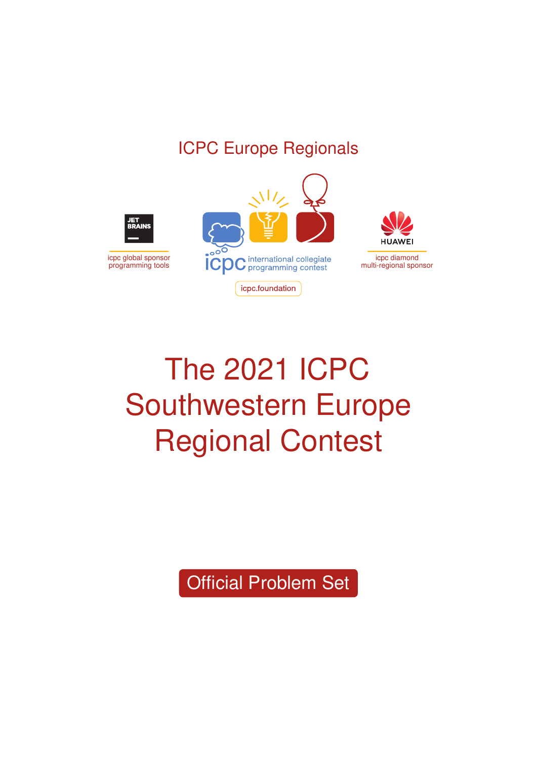# ICPC Europe Regionals



# The 2021 ICPC Southwestern Europe Regional Contest

Official Problem Set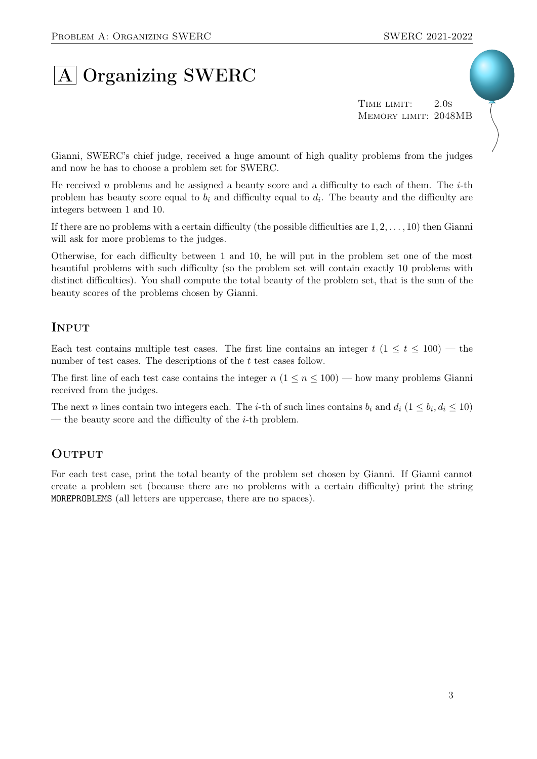# A Organizing SWERC

TIME LIMIT: 2.0s Memory limit: 2048MB

Gianni, SWERC's chief judge, received a huge amount of high quality problems from the judges and now he has to choose a problem set for SWERC.

He received n problems and he assigned a beauty score and a difficulty to each of them. The  $i$ -th problem has beauty score equal to  $b_i$  and difficulty equal to  $d_i$ . The beauty and the difficulty are integers between 1 and 10.

If there are no problems with a certain difficulty (the possible difficulties are  $1, 2, \ldots, 10$ ) then Gianni will ask for more problems to the judges.

Otherwise, for each difficulty between 1 and 10, he will put in the problem set one of the most beautiful problems with such difficulty (so the problem set will contain exactly 10 problems with distinct difficulties). You shall compute the total beauty of the problem set, that is the sum of the beauty scores of the problems chosen by Gianni.

### **INPUT**

Each test contains multiple test cases. The first line contains an integer  $t$  ( $1 \le t \le 100$ ) — the number of test cases. The descriptions of the t test cases follow.

The first line of each test case contains the integer  $n (1 \le n \le 100)$  — how many problems Gianni received from the judges.

The next n lines contain two integers each. The *i*-th of such lines contains  $b_i$  and  $d_i$   $(1 \leq b_i, d_i \leq 10)$ — the beauty score and the difficulty of the  $i$ -th problem.

### **OUTPUT**

For each test case, print the total beauty of the problem set chosen by Gianni. If Gianni cannot create a problem set (because there are no problems with a certain difficulty) print the string MOREPROBLEMS (all letters are uppercase, there are no spaces).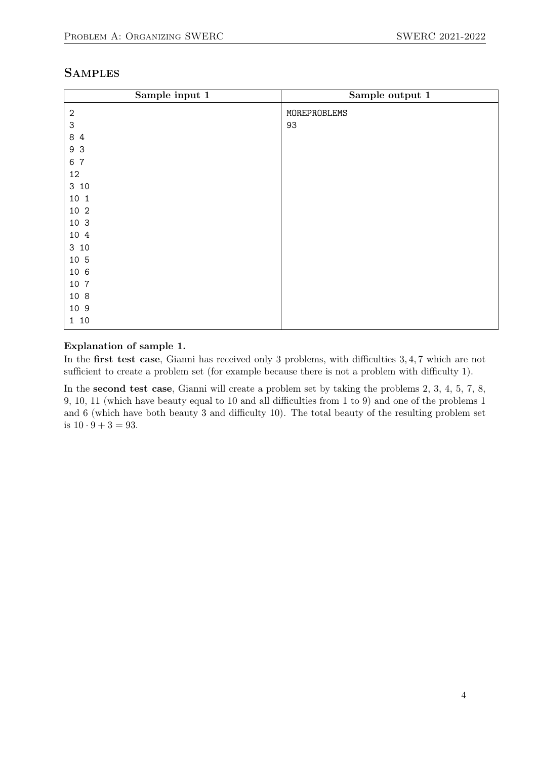### **SAMPLES**

| Sample input 1      | Sample output 1 |
|---------------------|-----------------|
| $\sqrt{2}$          | MOREPROBLEMS    |
| 3                   | 93              |
| 8<br>$\overline{4}$ |                 |
| 3<br>9              |                 |
| $\overline{7}$<br>6 |                 |
| 12                  |                 |
| 3 10                |                 |
| 10 1                |                 |
| 10 2                |                 |
| 10 3                |                 |
| 10 4                |                 |
| 3 10                |                 |
| 10 5                |                 |
| 10 6                |                 |
| 10 7                |                 |
| 10 8                |                 |
| 10 9                |                 |
| 1 10                |                 |

#### Explanation of sample 1.

In the first test case, Gianni has received only 3 problems, with difficulties  $3, 4, 7$  which are not sufficient to create a problem set (for example because there is not a problem with difficulty 1).

In the second test case, Gianni will create a problem set by taking the problems 2, 3, 4, 5, 7, 8, 9, 10, 11 (which have beauty equal to 10 and all difficulties from 1 to 9) and one of the problems 1 and 6 (which have both beauty 3 and difficulty 10). The total beauty of the resulting problem set is  $10 \cdot 9 + 3 = 93$ .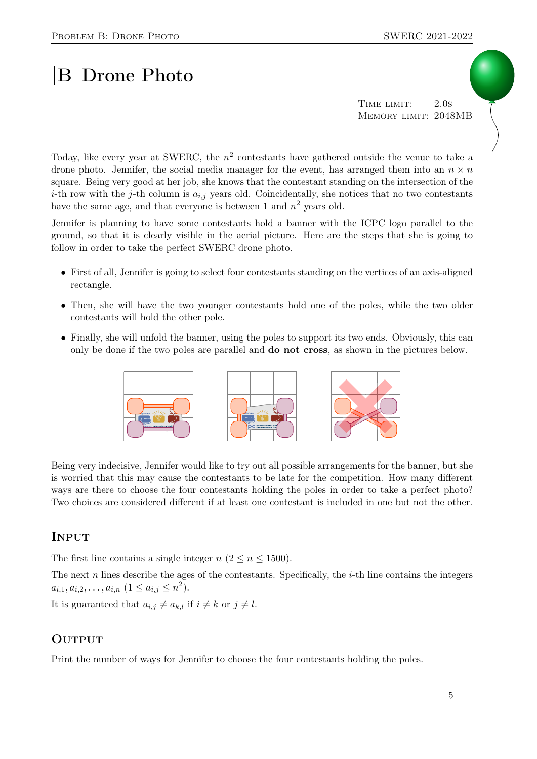# **B** Drone Photo

TIME LIMIT: 2.0s Memory limit: 2048MB

Today, like every year at SWERC, the  $n^2$  contestants have gathered outside the venue to take a drone photo. Jennifer, the social media manager for the event, has arranged them into an  $n \times n$ square. Being very good at her job, she knows that the contestant standing on the intersection of the *i*-th row with the *j*-th column is  $a_{i,j}$  years old. Coincidentally, she notices that no two contestants have the same age, and that everyone is between 1 and  $n^2$  years old.

Jennifer is planning to have some contestants hold a banner with the ICPC logo parallel to the ground, so that it is clearly visible in the aerial picture. Here are the steps that she is going to follow in order to take the perfect SWERC drone photo.

- First of all, Jennifer is going to select four contestants standing on the vertices of an axis-aligned rectangle.
- Then, she will have the two younger contestants hold one of the poles, while the two older contestants will hold the other pole.
- Finally, she will unfold the banner, using the poles to support its two ends. Obviously, this can only be done if the two poles are parallel and do not cross, as shown in the pictures below.



Being very indecisive, Jennifer would like to try out all possible arrangements for the banner, but she is worried that this may cause the contestants to be late for the competition. How many different ways are there to choose the four contestants holding the poles in order to take a perfect photo? Two choices are considered different if at least one contestant is included in one but not the other.

#### **INPUT**

The first line contains a single integer  $n (2 \lt n \lt 1500)$ .

The next  $n$  lines describe the ages of the contestants. Specifically, the  $i$ -th line contains the integers  $a_{i,1}, a_{i,2}, \ldots, a_{i,n}$   $(1 \le a_{i,j} \le n^2)$ .

It is guaranteed that  $a_{i,j} \neq a_{k,l}$  if  $i \neq k$  or  $j \neq l$ .

#### **OUTPUT**

Print the number of ways for Jennifer to choose the four contestants holding the poles.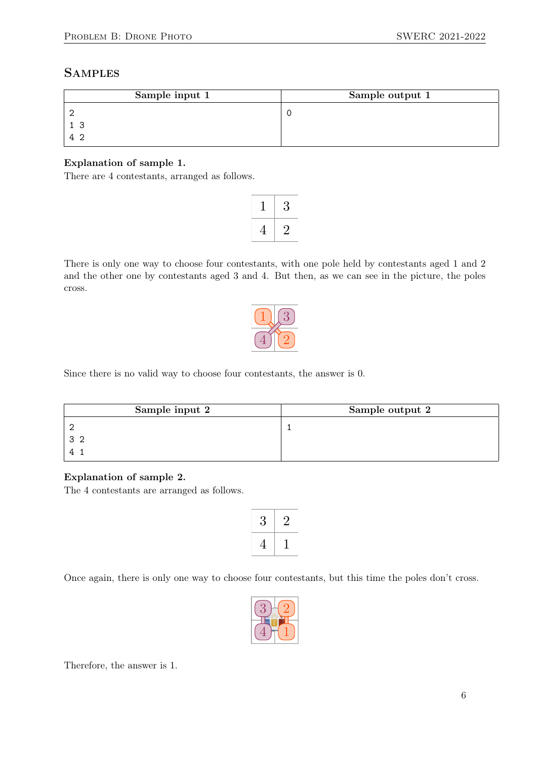### **SAMPLES**

| Sample input 1 | Sample output 1 |
|----------------|-----------------|
|                |                 |
|                |                 |
|                |                 |

#### Explanation of sample 1.

There are 4 contestants, arranged as follows.

|   | 3 |
|---|---|
| 4 |   |

There is only one way to choose four contestants, with one pole held by contestants aged 1 and 2 and the other one by contestants aged 3 and 4. But then, as we can see in the picture, the poles cross.



Since there is no valid way to choose four contestants, the answer is 0.

| Sample input 2 | Sample output 2 |
|----------------|-----------------|
|                |                 |
|                |                 |
|                |                 |

#### Explanation of sample 2.

The 4 contestants are arranged as follows.

| ۶ |  |
|---|--|
| 4 |  |

Once again, there is only one way to choose four contestants, but this time the poles don't cross.



Therefore, the answer is 1.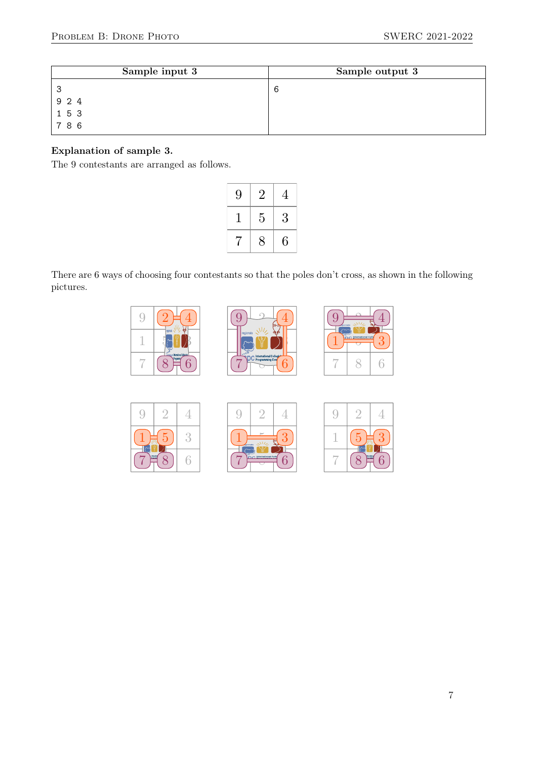| Sample input 3                                         | Sample output 3 |
|--------------------------------------------------------|-----------------|
| ິ<br>ں                                                 | b               |
| 9 2 4                                                  |                 |
|                                                        |                 |
| $\begin{array}{cc} 1 & 5 & 3 \\ 7 & 8 & 6 \end{array}$ |                 |

#### Explanation of sample 3.

The 9 contestants are arranged as follows.

| 9 | $\overline{2}$ | $\overline{4}$ |
|---|----------------|----------------|
|   | 5              | 3              |
| 7 | 8              | 6              |

There are 6 ways of choosing four contestants so that the poles don't cross, as shown in the following pictures.

| ratnak<br>l           |
|-----------------------|
| <b>Henrical Opene</b> |







| gionata | <b>C.</b> International Colle | 9ť |
|---------|-------------------------------|----|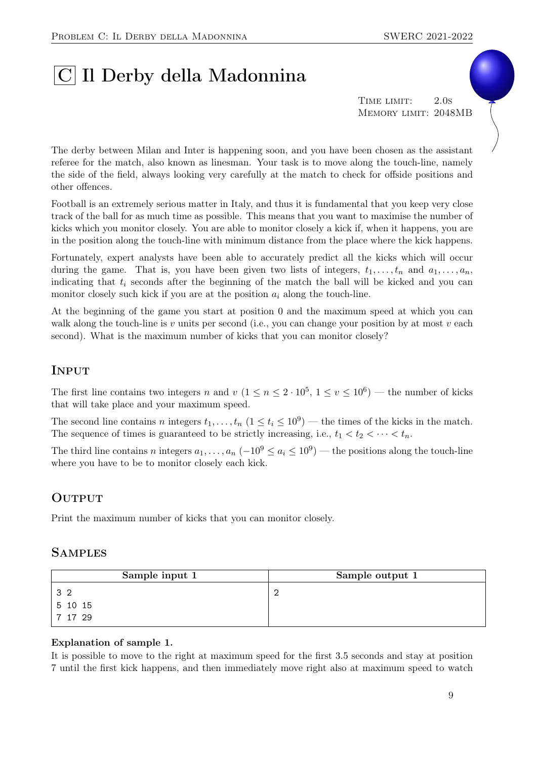# |C| Il Derby della Madonnina

TIME LIMIT: 2.0s Memory limit: 2048MB

The derby between Milan and Inter is happening soon, and you have been chosen as the assistant referee for the match, also known as linesman. Your task is to move along the touch-line, namely the side of the field, always looking very carefully at the match to check for offside positions and other offences.

Football is an extremely serious matter in Italy, and thus it is fundamental that you keep very close track of the ball for as much time as possible. This means that you want to maximise the number of kicks which you monitor closely. You are able to monitor closely a kick if, when it happens, you are in the position along the touch-line with minimum distance from the place where the kick happens.

Fortunately, expert analysts have been able to accurately predict all the kicks which will occur during the game. That is, you have been given two lists of integers,  $t_1, \ldots, t_n$  and  $a_1, \ldots, a_n$ , indicating that  $t_i$  seconds after the beginning of the match the ball will be kicked and you can monitor closely such kick if you are at the position  $a_i$  along the touch-line.

At the beginning of the game you start at position 0 and the maximum speed at which you can walk along the touch-line is v units per second (i.e., you can change your position by at most v each second). What is the maximum number of kicks that you can monitor closely?

# **INPUT**

The first line contains two integers n and  $v (1 \le n \le 2 \cdot 10^5, 1 \le v \le 10^6)$  — the number of kicks that will take place and your maximum speed.

The second line contains n integers  $t_1, \ldots, t_n$   $(1 \le t_i \le 10^9)$  — the times of the kicks in the match. The sequence of times is guaranteed to be strictly increasing, i.e.,  $t_1 < t_2 < \cdots < t_n$ .

The third line contains n integers  $a_1, \ldots, a_n$   $(-10^9 \le a_i \le 10^9)$  — the positions along the touch-line where you have to be to monitor closely each kick.

### **OUTPUT**

Print the maximum number of kicks that you can monitor closely.

#### **SAMPLES**

| Sample input 1 | Sample output 1 |
|----------------|-----------------|
| 32             |                 |
| 5 10 15        |                 |
| 7 17 29        |                 |

#### Explanation of sample 1.

It is possible to move to the right at maximum speed for the first 3.5 seconds and stay at position 7 until the first kick happens, and then immediately move right also at maximum speed to watch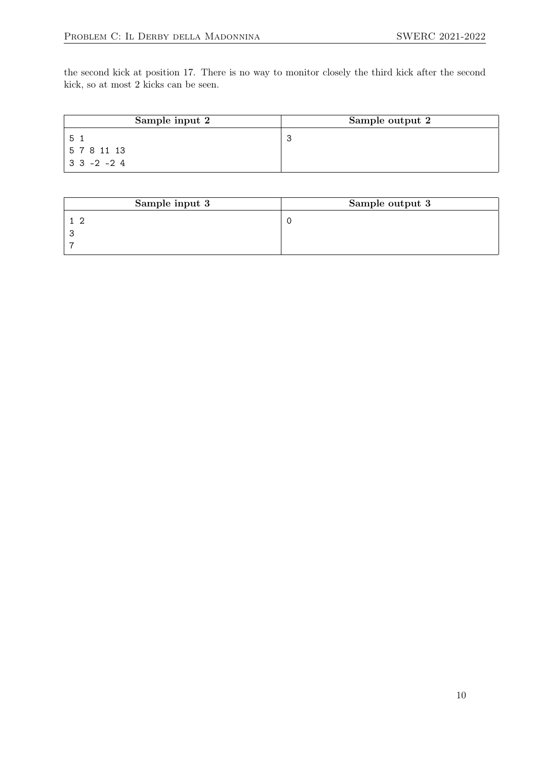the second kick at position 17. There is no way to monitor closely the third kick after the second kick, so at most 2 kicks can be seen.

| Sample input 2         | Sample output 2 |
|------------------------|-----------------|
| 5.                     |                 |
| 5781113                |                 |
| $ 3 \t3 \t-2 \t-2 \t4$ |                 |

| Sample input 3 | Sample output 3 |
|----------------|-----------------|
|                |                 |
|                |                 |
|                |                 |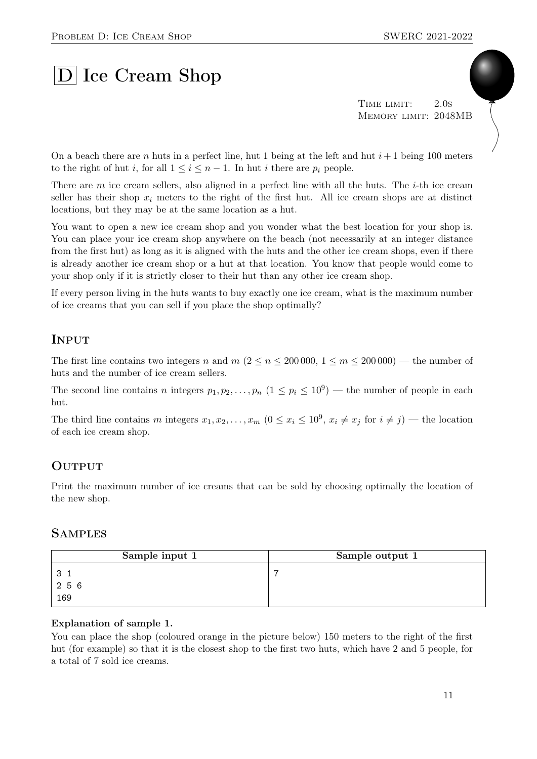# D Ice Cream Shop

TIME LIMIT: 2.0s Memory limit: 2048MB

On a beach there are n huts in a perfect line, hut 1 being at the left and hut  $i+1$  being 100 meters to the right of hut i, for all  $1 \leq i \leq n-1$ . In hut i there are  $p_i$  people.

There are m ice cream sellers, also aligned in a perfect line with all the huts. The *i*-th ice cream seller has their shop  $x_i$  meters to the right of the first hut. All ice cream shops are at distinct locations, but they may be at the same location as a hut.

You want to open a new ice cream shop and you wonder what the best location for your shop is. You can place your ice cream shop anywhere on the beach (not necessarily at an integer distance from the first hut) as long as it is aligned with the huts and the other ice cream shops, even if there is already another ice cream shop or a hut at that location. You know that people would come to your shop only if it is strictly closer to their hut than any other ice cream shop.

If every person living in the huts wants to buy exactly one ice cream, what is the maximum number of ice creams that you can sell if you place the shop optimally?

### **INPUT**

The first line contains two integers n and  $m (2 \le n \le 200000, 1 \le m \le 200000)$  — the number of huts and the number of ice cream sellers.

The second line contains n integers  $p_1, p_2, \ldots, p_n$   $(1 \leq p_i \leq 10^9)$  — the number of people in each hut.

The third line contains m integers  $x_1, x_2, \ldots, x_m$   $(0 \le x_i \le 10^9, x_i \ne x_j \text{ for } i \ne j)$  — the location of each ice cream shop.

### **OUTPUT**

Print the maximum number of ice creams that can be sold by choosing optimally the location of the new shop.

#### **SAMPLES**

| Sample input 1 | Sample output 1 |
|----------------|-----------------|
|                | -               |
| 256            |                 |
| 169            |                 |

#### Explanation of sample 1.

You can place the shop (coloured orange in the picture below) 150 meters to the right of the first hut (for example) so that it is the closest shop to the first two huts, which have 2 and 5 people, for a total of 7 sold ice creams.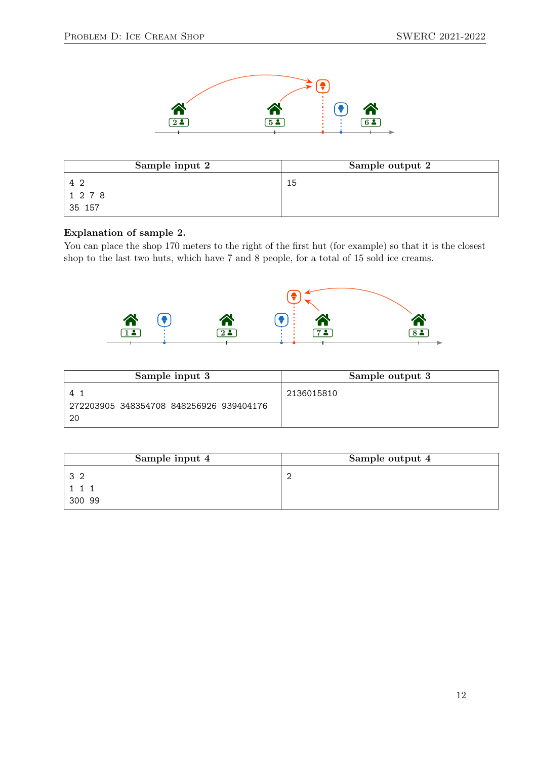

| Sample input 2 | Sample output 2 |
|----------------|-----------------|
| 42             | 15              |
| 1 2 7 8        |                 |
| 35 157         |                 |

#### Explanation of sample 2.

You can place the shop 170 meters to the right of the first hut (for example) so that it is the closest shop to the last two huts, which have 7 and 8 people, for a total of 15 sold ice creams.



| Sample input 3                                  | Sample output 3 |
|-------------------------------------------------|-----------------|
| 272203905 348354708 848256926 939404176<br>- 20 | 2136015810      |

| Sample input 4 | Sample output 4 |
|----------------|-----------------|
| 32             |                 |
|                |                 |
| 300 99         |                 |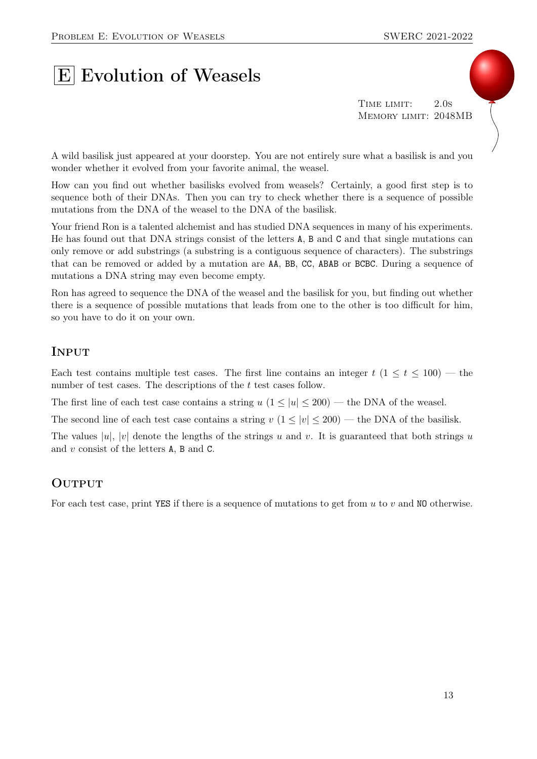# **E** Evolution of Weasels

TIME LIMIT: 2.0s Memory limit: 2048MB

A wild basilisk just appeared at your doorstep. You are not entirely sure what a basilisk is and you wonder whether it evolved from your favorite animal, the weasel.

How can you find out whether basilisks evolved from weasels? Certainly, a good first step is to sequence both of their DNAs. Then you can try to check whether there is a sequence of possible mutations from the DNA of the weasel to the DNA of the basilisk.

Your friend Ron is a talented alchemist and has studied DNA sequences in many of his experiments. He has found out that DNA strings consist of the letters A, B and C and that single mutations can only remove or add substrings (a substring is a contiguous sequence of characters). The substrings that can be removed or added by a mutation are AA, BB, CC, ABAB or BCBC. During a sequence of mutations a DNA string may even become empty.

Ron has agreed to sequence the DNA of the weasel and the basilisk for you, but finding out whether there is a sequence of possible mutations that leads from one to the other is too difficult for him, so you have to do it on your own.

#### **INPUT**

Each test contains multiple test cases. The first line contains an integer  $t$  ( $1 \le t \le 100$ ) — the number of test cases. The descriptions of the t test cases follow.

The first line of each test case contains a string  $u$  ( $1 \le |u| \le 200$ ) — the DNA of the weasel.

The second line of each test case contains a string  $v (1 \le |v| \le 200)$  — the DNA of the basilisk.

The values  $|u|, |v|$  denote the lengths of the strings u and v. It is guaranteed that both strings u and v consist of the letters A, B and C.

#### **OUTPUT**

For each test case, print YES if there is a sequence of mutations to get from  $u$  to  $v$  and NO otherwise.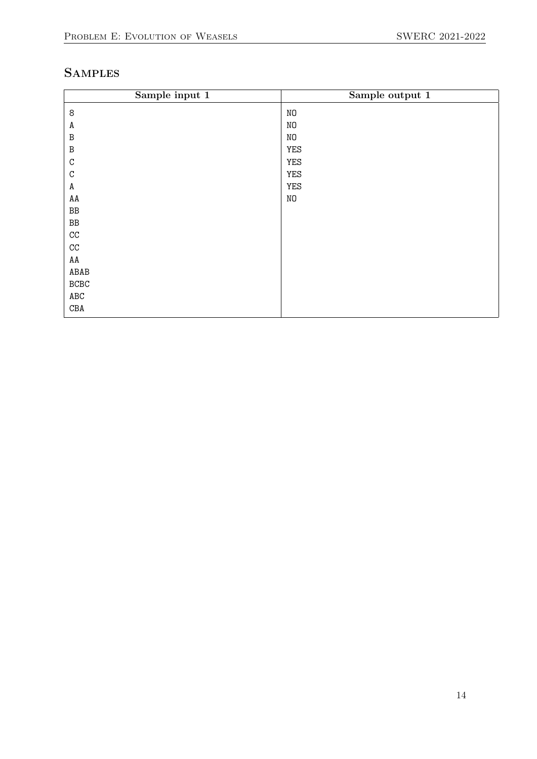# **SAMPLES**

| Sample input 1       | Sample output 1 |
|----------------------|-----------------|
| $\,8\,$              | NO              |
| A                    | NO              |
| $\, {\bf B}$         | NO              |
| $\, {\bf B}$         | YES             |
| $\mathtt{C}$         | YES             |
| $\mathtt{C}$         | YES             |
| A                    | YES             |
| $\mathtt{AA}$        | NO              |
| $\rm BB$             |                 |
| $\rm BB$             |                 |
| $\rm CC$             |                 |
| $\rm CC$             |                 |
| AA                   |                 |
| ${\tt ABAB}$         |                 |
| $_{\rm BCBC}$        |                 |
| $\operatorname{ABC}$ |                 |
| $\mathtt{CBA}$       |                 |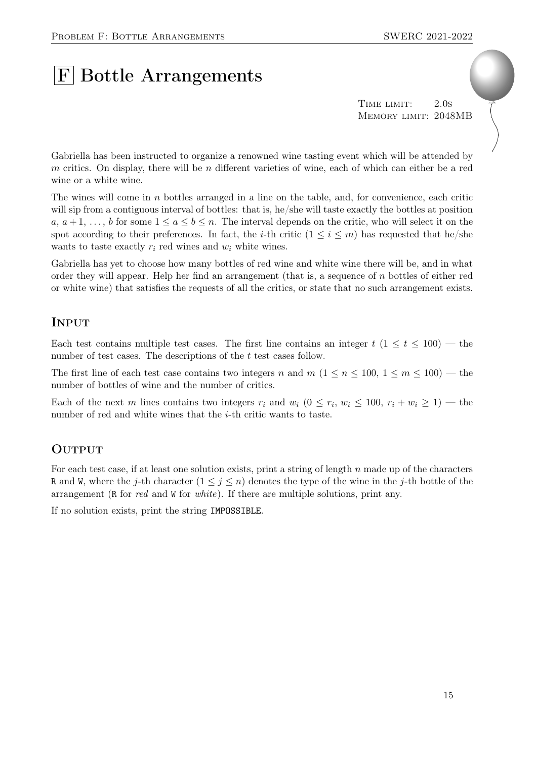# **F** Bottle Arrangements

TIME LIMIT: 2.0s Memory limit: 2048MB

Gabriella has been instructed to organize a renowned wine tasting event which will be attended by m critics. On display, there will be n different varieties of wine, each of which can either be a red wine or a white wine.

The wines will come in  $n$  bottles arranged in a line on the table, and, for convenience, each critic will sip from a contiguous interval of bottles: that is, he/she will taste exactly the bottles at position  $a, a+1, \ldots, b$  for some  $1 \le a \le b \le n$ . The interval depends on the critic, who will select it on the spot according to their preferences. In fact, the *i*-th critic  $(1 \leq i \leq m)$  has requested that he/she wants to taste exactly  $r_i$  red wines and  $w_i$  white wines.

Gabriella has yet to choose how many bottles of red wine and white wine there will be, and in what order they will appear. Help her find an arrangement (that is, a sequence of  $n$  bottles of either red or white wine) that satisfies the requests of all the critics, or state that no such arrangement exists.

### Input

Each test contains multiple test cases. The first line contains an integer  $t$  (1  $\leq t \leq 100$ ) — the number of test cases. The descriptions of the t test cases follow.

The first line of each test case contains two integers n and  $m$   $(1 \le n \le 100, 1 \le m \le 100)$  — the number of bottles of wine and the number of critics.

Each of the next m lines contains two integers  $r_i$  and  $w_i$   $(0 \le r_i, w_i \le 100, r_i + w_i \ge 1)$  — the number of red and white wines that the *i*-th critic wants to taste.

### **OUTPUT**

For each test case, if at least one solution exists, print a string of length n made up of the characters R and W, where the j-th character  $(1 \leq j \leq n)$  denotes the type of the wine in the j-th bottle of the arrangement (R for red and W for white). If there are multiple solutions, print any.

If no solution exists, print the string IMPOSSIBLE.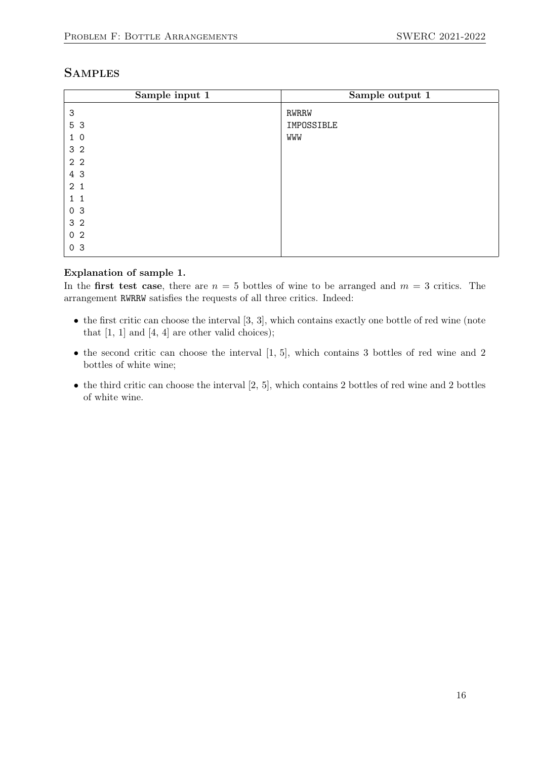### **SAMPLES**

| Sample input 1 | Sample output 1 |
|----------------|-----------------|
| 3              | RWRRW           |
| 5 3            | IMPOSSIBLE      |
| $1\ 0$         | WWW             |
| 3 <sub>2</sub> |                 |
| 2 <sub>2</sub> |                 |
| 4 3            |                 |
| 2 <sub>1</sub> |                 |
| $1\quad1$      |                 |
| 0 <sup>3</sup> |                 |
| 3 <sub>2</sub> |                 |
| 0 <sub>2</sub> |                 |
| 0 <sub>3</sub> |                 |

#### Explanation of sample 1.

In the first test case, there are  $n = 5$  bottles of wine to be arranged and  $m = 3$  critics. The arrangement RWRRW satisfies the requests of all three critics. Indeed:

- $\bullet$  the first critic can choose the interval [3, 3], which contains exactly one bottle of red wine (note that  $[1, 1]$  and  $[4, 4]$  are other valid choices);
- $\bullet$  the second critic can choose the interval  $[1, 5]$ , which contains 3 bottles of red wine and 2 bottles of white wine;
- $\bullet$  the third critic can choose the interval  $[2, 5]$ , which contains 2 bottles of red wine and 2 bottles of white wine.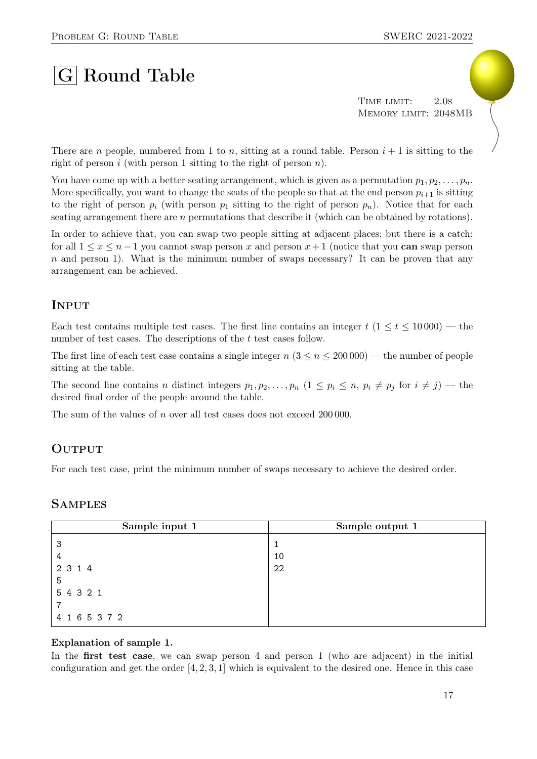# $|G|$  Round Table

TIME LIMIT: 2.0s Memory limit: 2048MB

There are n people, numbered from 1 to n, sitting at a round table. Person  $i + 1$  is sitting to the right of person i (with person 1 sitting to the right of person  $n$ ).

You have come up with a better seating arrangement, which is given as a permutation  $p_1, p_2, \ldots, p_n$ . More specifically, you want to change the seats of the people so that at the end person  $p_{i+1}$  is sitting to the right of person  $p_i$  (with person  $p_1$  sitting to the right of person  $p_n$ ). Notice that for each seating arrangement there are n permutations that describe it (which can be obtained by rotations).

In order to achieve that, you can swap two people sitting at adjacent places; but there is a catch: for all  $1 \leq x \leq n-1$  you cannot swap person x and person  $x+1$  (notice that you can swap person  $n$  and person 1). What is the minimum number of swaps necessary? It can be proven that any arrangement can be achieved.

### **INPUT**

Each test contains multiple test cases. The first line contains an integer  $t$  ( $1 \le t \le 10000$ ) — the number of test cases. The descriptions of the t test cases follow.

The first line of each test case contains a single integer  $n (3 \le n \le 200000)$  — the number of people sitting at the table.

The second line contains n distinct integers  $p_1, p_2, \ldots, p_n$   $(1 \leq p_i \leq n, p_i \neq p_j \text{ for } i \neq j)$  — the desired final order of the people around the table.

The sum of the values of n over all test cases does not exceed 200 000.

#### **OUTPUT**

For each test case, print the minimum number of swaps necessary to achieve the desired order.

#### **SAMPLES**

| Sample input 1 | Sample output 1 |
|----------------|-----------------|
| -3             |                 |
| 4              | 10              |
| 2 3 1 4        | 22              |
| 5              |                 |
| 5 4 3 2 1      |                 |
|                |                 |
| 4 1 6 5 3 7 2  |                 |

#### Explanation of sample 1.

In the **first test case**, we can swap person 4 and person 1 (who are adjacent) in the initial configuration and get the order  $[4, 2, 3, 1]$  which is equivalent to the desired one. Hence in this case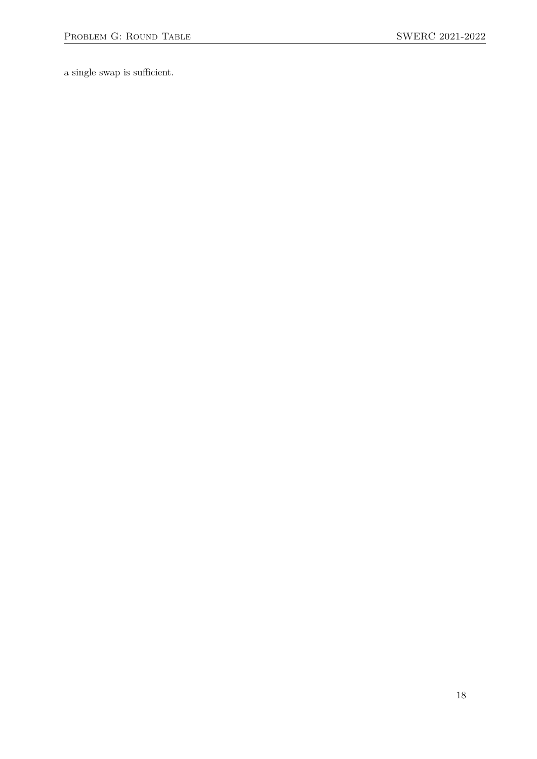a single swap is sufficient.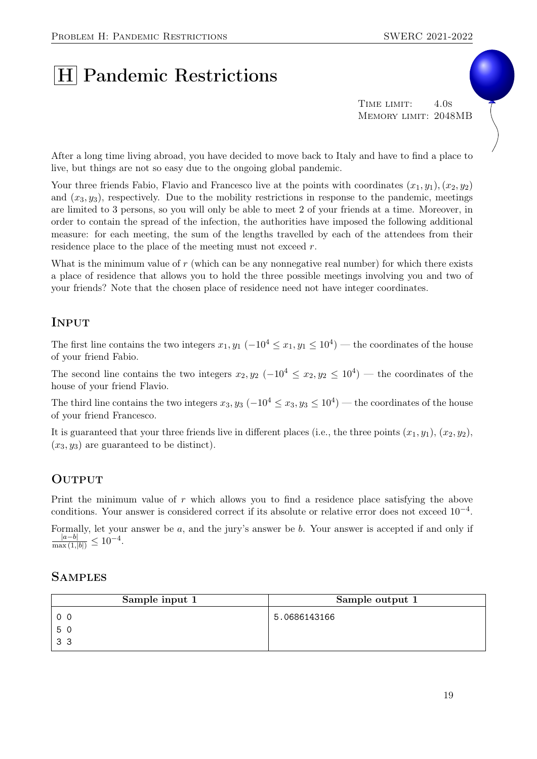# H Pandemic Restrictions

TIME LIMIT: 4.0s Memory limit: 2048MB

After a long time living abroad, you have decided to move back to Italy and have to find a place to live, but things are not so easy due to the ongoing global pandemic.

Your three friends Fabio, Flavio and Francesco live at the points with coordinates  $(x_1, y_1), (x_2, y_2)$ and  $(x_3, y_3)$ , respectively. Due to the mobility restrictions in response to the pandemic, meetings are limited to 3 persons, so you will only be able to meet 2 of your friends at a time. Moreover, in order to contain the spread of the infection, the authorities have imposed the following additional measure: for each meeting, the sum of the lengths travelled by each of the attendees from their residence place to the place of the meeting must not exceed r.

What is the minimum value of  $r$  (which can be any nonnegative real number) for which there exists a place of residence that allows you to hold the three possible meetings involving you and two of your friends? Note that the chosen place of residence need not have integer coordinates.

# Input

The first line contains the two integers  $x_1, y_1 \ (-10^4 \le x_1, y_1 \le 10^4)$  — the coordinates of the house of your friend Fabio.

The second line contains the two integers  $x_2, y_2$  ( $-10^4 \le x_2, y_2 \le 10^4$ ) — the coordinates of the house of your friend Flavio.

The third line contains the two integers  $x_3, y_3$  ( $-10^4 \le x_3, y_3 \le 10^4$ ) — the coordinates of the house of your friend Francesco.

It is guaranteed that your three friends live in different places (i.e., the three points  $(x_1, y_1), (x_2, y_2),$  $(x_3, y_3)$  are guaranteed to be distinct).

### **OUTPUT**

Print the minimum value of r which allows you to find a residence place satisfying the above conditions. Your answer is considered correct if its absolute or relative error does not exceed 10−<sup>4</sup> .

Formally, let your answer be a, and the jury's answer be b. Your answer is accepted if and only if  $\frac{|a-b|}{\max(1,|b|)} \leq 10^{-4}.$ 

#### **SAMPLES**

| Sample input 1 | Sample output 1 |
|----------------|-----------------|
| 0 <sub>0</sub> | 5.0686143166    |
| 50             |                 |
| 33             |                 |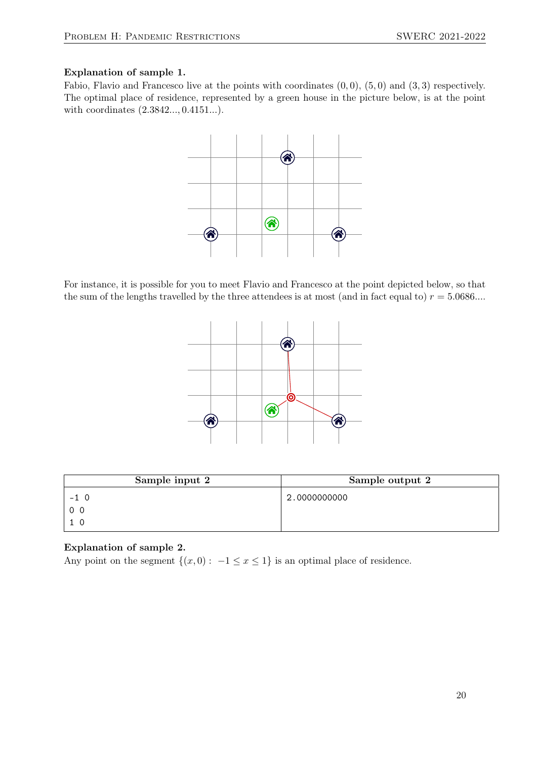#### Explanation of sample 1.

Fabio, Flavio and Francesco live at the points with coordinates  $(0, 0)$ ,  $(5, 0)$  and  $(3, 3)$  respectively. The optimal place of residence, represented by a green house in the picture below, is at the point with coordinates (2.3842..., 0.4151...).



For instance, it is possible for you to meet Flavio and Francesco at the point depicted below, so that the sum of the lengths travelled by the three attendees is at most (and in fact equal to)  $r = 5.0686...$ 



| Sample input 2 | Sample output 2 |
|----------------|-----------------|
| $-1 \ 0$       | 2.0000000000    |
| 0 <sub>0</sub> |                 |
|                |                 |

#### Explanation of sample 2.

Any point on the segment  $\{(x, 0) : -1 \le x \le 1\}$  is an optimal place of residence.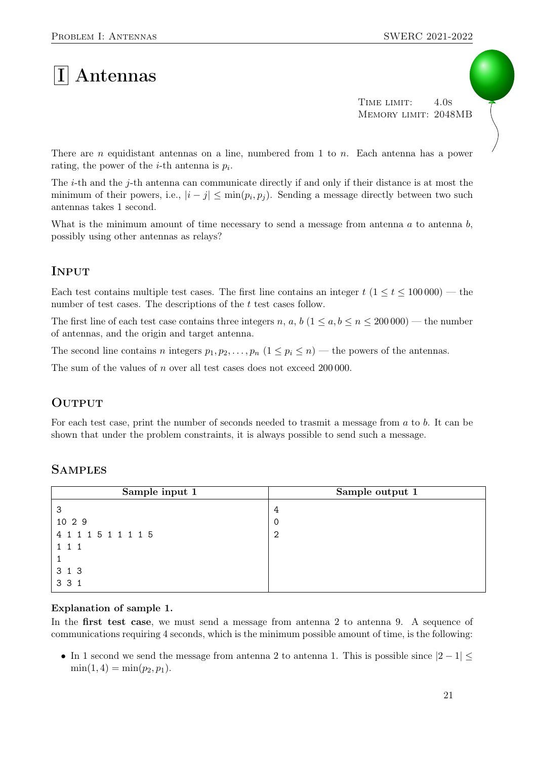# $|I|$  Antennas

TIME LIMIT: 4.0s Memory limit: 2048MB

There are n equidistant antennas on a line, numbered from 1 to n. Each antenna has a power rating, the power of the *i*-th antenna is  $p_i$ .

The *i*-th and the *j*-th antenna can communicate directly if and only if their distance is at most the minimum of their powers, i.e.,  $|i - j| \leq \min(p_i, p_j)$ . Sending a message directly between two such antennas takes 1 second.

What is the minimum amount of time necessary to send a message from antenna  $a$  to antenna  $b$ , possibly using other antennas as relays?

# **INPUT**

Each test contains multiple test cases. The first line contains an integer  $t$  (1  $\le t \le 100000$ ) — the number of test cases. The descriptions of the t test cases follow.

The first line of each test case contains three integers n, a, b  $(1 \le a, b \le n \le 200000)$  — the number of antennas, and the origin and target antenna.

The second line contains n integers  $p_1, p_2, \ldots, p_n$   $(1 \leq p_i \leq n)$  — the powers of the antennas.

The sum of the values of n over all test cases does not exceed 200 000.

### **OUTPUT**

For each test case, print the number of seconds needed to trasmit a message from a to b. It can be shown that under the problem constraints, it is always possible to send such a message.

| Sample input 1      | Sample output 1 |
|---------------------|-----------------|
| 3                   | 4               |
| 10 2 9              | -0              |
| 4 1 1 1 5 1 1 1 1 5 | -2              |
| $1 \; 1 \; 1$       |                 |
|                     |                 |
| 3 1 3               |                 |
| 3 3 1               |                 |

# **SAMPLES**

#### Explanation of sample 1.

In the first test case, we must send a message from antenna 2 to antenna 9. A sequence of communications requiring 4 seconds, which is the minimum possible amount of time, is the following:

• In 1 second we send the message from antenna 2 to antenna 1. This is possible since  $|2 - 1| \le$  $\min(1, 4) = \min(p_2, p_1).$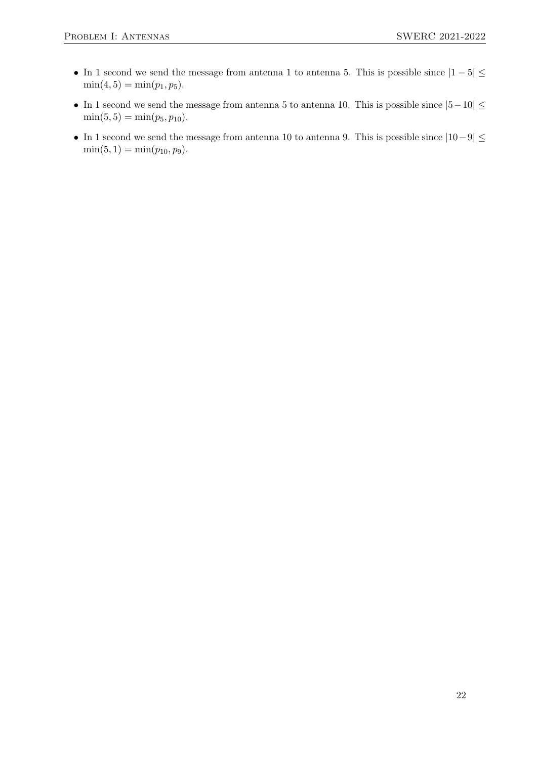- In 1 second we send the message from antenna 1 to antenna 5. This is possible since  $|1-5| \le$  $\min(4, 5) = \min(p_1, p_5).$
- In 1 second we send the message from antenna 5 to antenna 10. This is possible since  $|5-10| \le$  $min(5, 5) = min(p_5, p_{10}).$
- In 1 second we send the message from antenna 10 to antenna 9. This is possible since  $|10-9| \le$  $\min(5, 1) = \min(p_{10}, p_9).$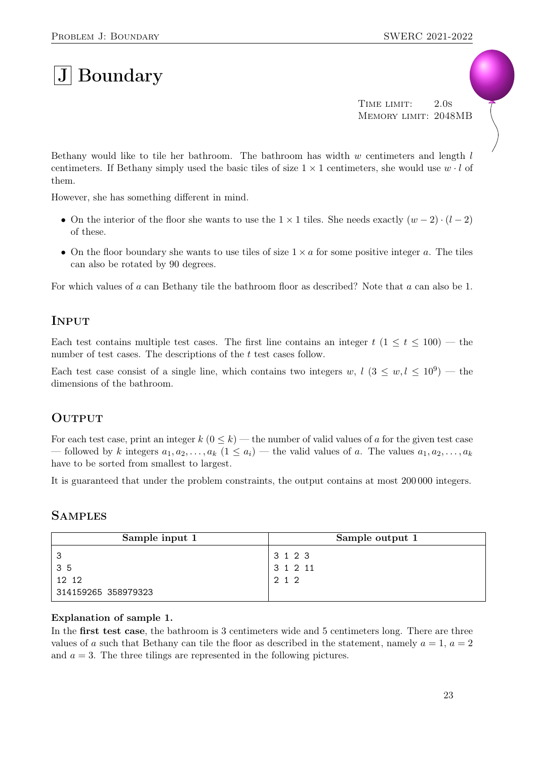# $|{\rm J}|$  Boundary

TIME LIMIT: 2.0s Memory limit: 2048MB

Bethany would like to tile her bathroom. The bathroom has width  $w$  centimeters and length  $l$ centimeters. If Bethany simply used the basic tiles of size  $1 \times 1$  centimeters, she would use  $w \cdot l$  of them.

However, she has something different in mind.

- On the interior of the floor she wants to use the  $1 \times 1$  tiles. She needs exactly  $(w 2) \cdot (l 2)$ of these.
- On the floor boundary she wants to use tiles of size  $1 \times a$  for some positive integer a. The tiles can also be rotated by 90 degrees.

For which values of a can Bethany tile the bathroom floor as described? Note that a can also be 1.

### **INPUT**

Each test contains multiple test cases. The first line contains an integer  $t$  (1  $\leq t \leq 100$ ) — the number of test cases. The descriptions of the t test cases follow.

Each test case consist of a single line, which contains two integers w,  $l$   $(3 \leq w, l \leq 10^9)$  — the dimensions of the bathroom.

#### **OUTPUT**

For each test case, print an integer  $k$  ( $0 \le k$ ) — the number of valid values of a for the given test case — followed by k integers  $a_1, a_2, \ldots, a_k$   $(1 \le a_i)$  — the valid values of a. The values  $a_1, a_2, \ldots, a_k$ have to be sorted from smallest to largest.

It is guaranteed that under the problem constraints, the output contains at most 200 000 integers.

#### **SAMPLES**

| Sample input 1      | Sample output 1 |
|---------------------|-----------------|
|                     | 3 1 2 3         |
| 35                  | 31211           |
| 12 12               | 2 1 2           |
| 314159265 358979323 |                 |

#### Explanation of sample 1.

In the **first test case**, the bathroom is 3 centimeters wide and 5 centimeters long. There are three values of a such that Bethany can tile the floor as described in the statement, namely  $a = 1, a = 2$ and  $a = 3$ . The three tilings are represented in the following pictures.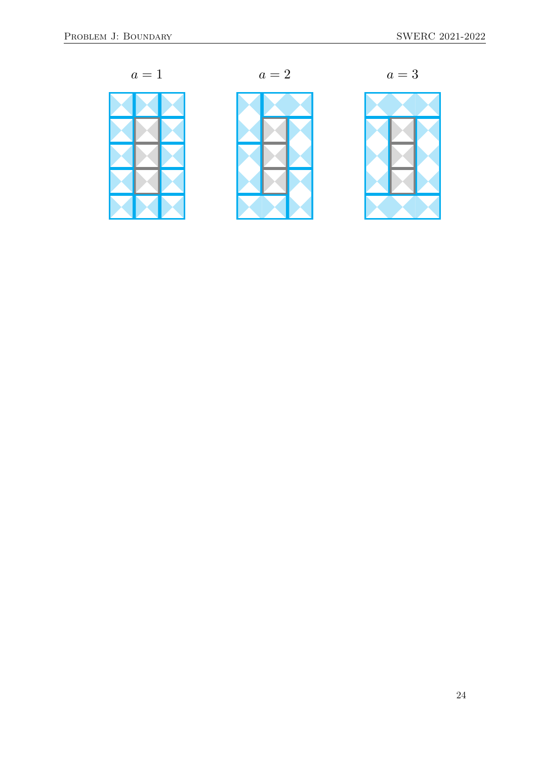







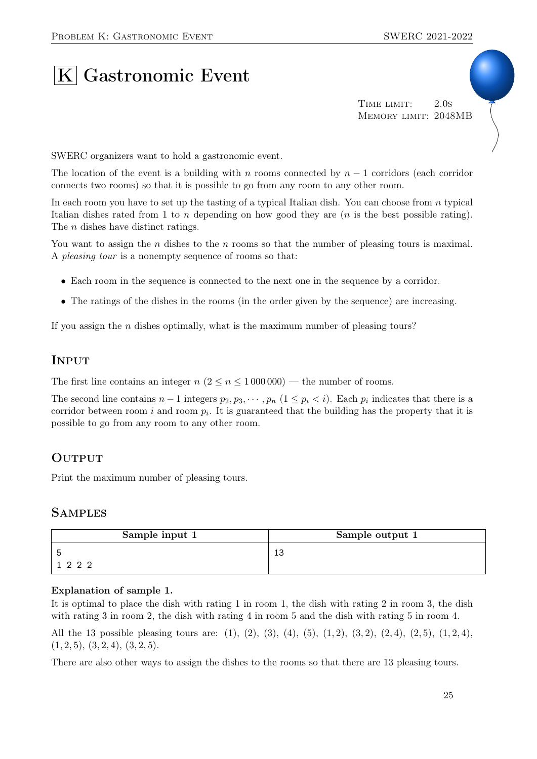# $|K|$  Gastronomic Event

TIME LIMIT: 2.0s Memory limit: 2048MB

SWERC organizers want to hold a gastronomic event.

The location of the event is a building with n rooms connected by  $n-1$  corridors (each corridor connects two rooms) so that it is possible to go from any room to any other room.

In each room you have to set up the tasting of a typical Italian dish. You can choose from  $n$  typical Italian dishes rated from 1 to n depending on how good they are  $(n$  is the best possible rating). The *n* dishes have distinct ratings.

You want to assign the *n* dishes to the *n* rooms so that the number of pleasing tours is maximal. A pleasing tour is a nonempty sequence of rooms so that:

- Each room in the sequence is connected to the next one in the sequence by a corridor.
- The ratings of the dishes in the rooms (in the order given by the sequence) are increasing.

If you assign the  $n$  dishes optimally, what is the maximum number of pleasing tours?

#### **INPUT**

The first line contains an integer  $n (2 \le n \le 1000000)$  — the number of rooms.

The second line contains  $n-1$  integers  $p_2, p_3, \cdots, p_n$   $(1 \leq p_i < i)$ . Each  $p_i$  indicates that there is a corridor between room i and room  $p_i$ . It is guaranteed that the building has the property that it is possible to go from any room to any other room.

#### **OUTPUT**

Print the maximum number of pleasing tours.

#### **SAMPLES**

| Sample input 1 | Sample output 1 |
|----------------|-----------------|
|                | 13              |
| 1222           |                 |

#### Explanation of sample 1.

It is optimal to place the dish with rating 1 in room 1, the dish with rating 2 in room 3, the dish with rating 3 in room 2, the dish with rating 4 in room 5 and the dish with rating 5 in room 4.

All the 13 possible pleasing tours are: (1), (2), (3), (4), (5), (1, 2), (3, 2), (2, 4), (2, 5), (1, 2, 4),  $(1, 2, 5), (3, 2, 4), (3, 2, 5).$ 

There are also other ways to assign the dishes to the rooms so that there are 13 pleasing tours.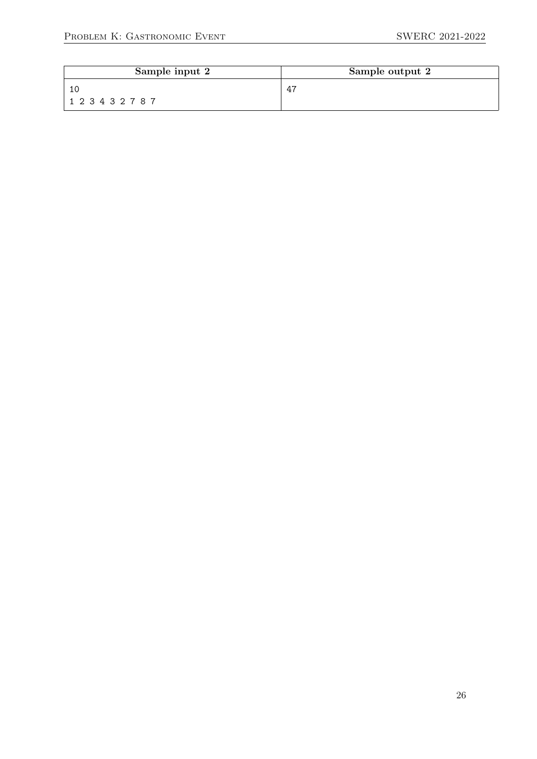| Sample input 2 | Sample output 2 |
|----------------|-----------------|
|                | 47              |
| 123432787      |                 |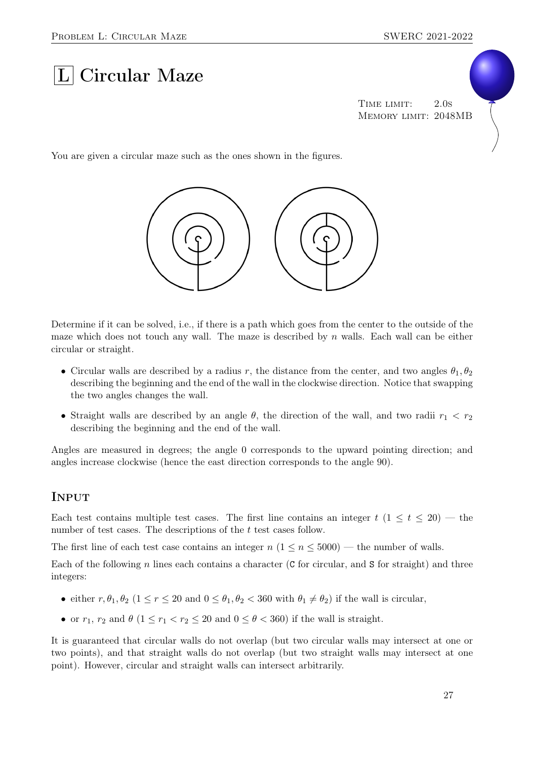# $|L|$  Circular Maze

TIME LIMIT: 2.0s Memory limit: 2048MB

You are given a circular maze such as the ones shown in the figures.



Determine if it can be solved, i.e., if there is a path which goes from the center to the outside of the maze which does not touch any wall. The maze is described by  $n$  walls. Each wall can be either circular or straight.

- Circular walls are described by a radius r, the distance from the center, and two angles  $\theta_1, \theta_2$ describing the beginning and the end of the wall in the clockwise direction. Notice that swapping the two angles changes the wall.
- Straight walls are described by an angle  $\theta$ , the direction of the wall, and two radii  $r_1 < r_2$ describing the beginning and the end of the wall.

Angles are measured in degrees; the angle 0 corresponds to the upward pointing direction; and angles increase clockwise (hence the east direction corresponds to the angle 90).

#### **INPUT**

Each test contains multiple test cases. The first line contains an integer  $t$  (1  $\leq t \leq 20$ ) — the number of test cases. The descriptions of the t test cases follow.

The first line of each test case contains an integer  $n (1 \le n \le 5000)$  — the number of walls.

Each of the following n lines each contains a character (C for circular, and S for straight) and three integers:

- either  $r, \theta_1, \theta_2$  ( $1 \le r \le 20$  and  $0 \le \theta_1, \theta_2 \le 360$  with  $\theta_1 \ne \theta_2$ ) if the wall is circular,
- or  $r_1$ ,  $r_2$  and  $\theta$  ( $1 \le r_1 < r_2 \le 20$  and  $0 \le \theta < 360$ ) if the wall is straight.

It is guaranteed that circular walls do not overlap (but two circular walls may intersect at one or two points), and that straight walls do not overlap (but two straight walls may intersect at one point). However, circular and straight walls can intersect arbitrarily.